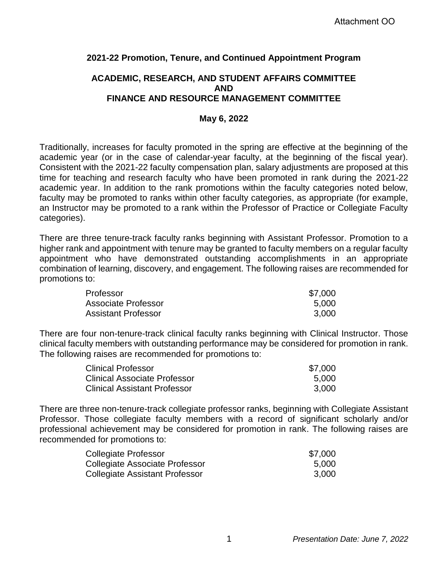# **2021-22 Promotion, Tenure, and Continued Appointment Program**

# **ACADEMIC, RESEARCH, AND STUDENT AFFAIRS COMMITTEE AND FINANCE AND RESOURCE MANAGEMENT COMMITTEE**

### **May 6, 2022**

Traditionally, increases for faculty promoted in the spring are effective at the beginning of the academic year (or in the case of calendar-year faculty, at the beginning of the fiscal year). Consistent with the 2021-22 faculty compensation plan, salary adjustments are proposed at this time for teaching and research faculty who have been promoted in rank during the 2021-22 academic year. In addition to the rank promotions within the faculty categories noted below, faculty may be promoted to ranks within other faculty categories, as appropriate (for example, an Instructor may be promoted to a rank within the Professor of Practice or Collegiate Faculty categories).

There are three tenure-track faculty ranks beginning with Assistant Professor. Promotion to a higher rank and appointment with tenure may be granted to faculty members on a regular faculty appointment who have demonstrated outstanding accomplishments in an appropriate combination of learning, discovery, and engagement. The following raises are recommended for promotions to:

| Professor                  | \$7,000 |
|----------------------------|---------|
| Associate Professor        | 5.000   |
| <b>Assistant Professor</b> | 3.000   |

There are four non-tenure-track clinical faculty ranks beginning with Clinical Instructor. Those clinical faculty members with outstanding performance may be considered for promotion in rank. The following raises are recommended for promotions to:

| <b>Clinical Professor</b>           | \$7.000 |
|-------------------------------------|---------|
| <b>Clinical Associate Professor</b> | 5.000   |
| <b>Clinical Assistant Professor</b> | 3.000   |

There are three non-tenure-track collegiate professor ranks, beginning with Collegiate Assistant Professor. Those collegiate faculty members with a record of significant scholarly and/or professional achievement may be considered for promotion in rank. The following raises are recommended for promotions to:

| Collegiate Professor                  | \$7,000 |
|---------------------------------------|---------|
| Collegiate Associate Professor        | 5.000   |
| <b>Collegiate Assistant Professor</b> | 3.000   |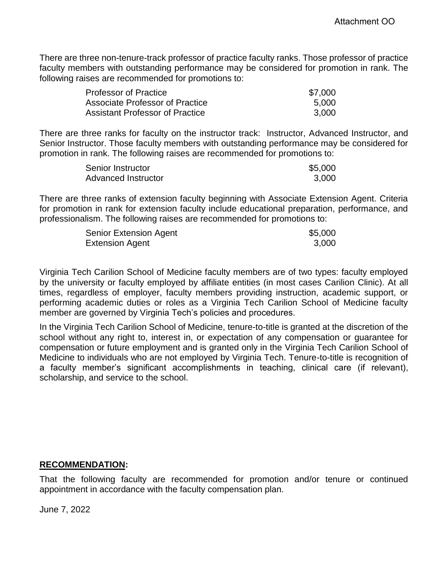There are three non-tenure-track professor of practice faculty ranks. Those professor of practice faculty members with outstanding performance may be considered for promotion in rank. The following raises are recommended for promotions to:

| <b>Professor of Practice</b>           | \$7,000 |
|----------------------------------------|---------|
| Associate Professor of Practice        | 5.000   |
| <b>Assistant Professor of Practice</b> | 3.000   |

There are three ranks for faculty on the instructor track: Instructor, Advanced Instructor, and Senior Instructor. Those faculty members with outstanding performance may be considered for promotion in rank. The following raises are recommended for promotions to:

| Senior Instructor   | \$5,000 |
|---------------------|---------|
| Advanced Instructor | 3,000   |

There are three ranks of extension faculty beginning with Associate Extension Agent. Criteria for promotion in rank for extension faculty include educational preparation, performance, and professionalism. The following raises are recommended for promotions to:

| <b>Senior Extension Agent</b> | \$5,000 |
|-------------------------------|---------|
| <b>Extension Agent</b>        | 3,000   |

Virginia Tech Carilion School of Medicine faculty members are of two types: faculty employed by the university or faculty employed by affiliate entities (in most cases Carilion Clinic). At all times, regardless of employer, faculty members providing instruction, academic support, or performing academic duties or roles as a Virginia Tech Carilion School of Medicine faculty member are governed by Virginia Tech's policies and procedures.

In the Virginia Tech Carilion School of Medicine, tenure-to-title is granted at the discretion of the school without any right to, interest in, or expectation of any compensation or guarantee for compensation or future employment and is granted only in the Virginia Tech Carilion School of Medicine to individuals who are not employed by Virginia Tech. Tenure-to-title is recognition of a faculty member's significant accomplishments in teaching, clinical care (if relevant), scholarship, and service to the school.

## **RECOMMENDATION:**

That the following faculty are recommended for promotion and/or tenure or continued appointment in accordance with the faculty compensation plan.

June 7, 2022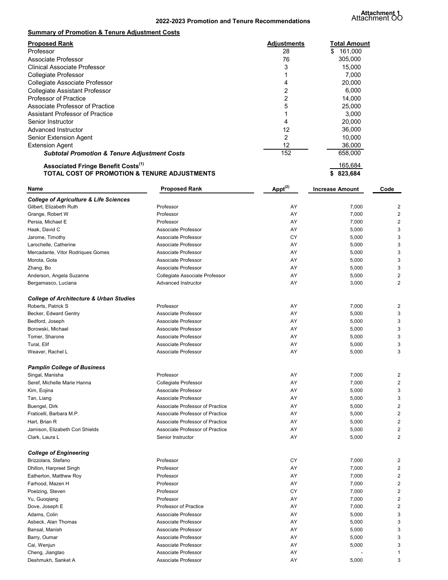**Attachment 1** Attachment OO

| <b>Summary of Promotion &amp; Tenure Adjustment Costs</b> |                    |               |
|-----------------------------------------------------------|--------------------|---------------|
| <b>Proposed Rank</b>                                      | <b>Adjustments</b> | Total Amount  |
| Professor                                                 | 28                 | 161,000<br>S. |
| Associate Professor                                       | 76                 | 305,000       |
| Clinical Associate Professor                              | 3                  | 15.000        |
| <b>Collegiate Professor</b>                               |                    | 7,000         |
| Collegiate Associate Professor                            | 4                  | 20,000        |
| <b>Collegiate Assistant Professor</b>                     | 2                  | 6,000         |
| <b>Professor of Practice</b>                              | 2                  | 14,000        |
| Associate Professor of Practice                           | 5                  | 25,000        |
| Assistant Professor of Practice                           |                    | 3.000         |
| Senior Instructor                                         | 4                  | 20,000        |
| Advanced Instructor                                       | 12                 | 36,000        |
| <b>Senior Extension Agent</b>                             | 2                  | 10,000        |
| <b>Extension Agent</b>                                    | 12                 | 36,000        |
| <b>Subtotal Promotion &amp; Tenure Adjustment Costs</b>   | 152                | 658,000       |
| <b>Associated Fringe Benefit Costs</b> <sup>(1)</sup>     |                    | 165,684       |
| TOTAL COST OF PROMOTION & TENURE ADJUSTMENTS              |                    | 823,684       |

| <b>Name</b>                                        | <b>Proposed Rank</b>            | $\text{Appt}^{(2)}$ | <b>Increase Amount</b> | Code                    |
|----------------------------------------------------|---------------------------------|---------------------|------------------------|-------------------------|
| <b>College of Agriculture &amp; Life Sciences</b>  |                                 |                     |                        |                         |
| Gilbert. Elizabeth Ruth                            | Professor                       | AY                  | 7,000                  | 2                       |
| Grange, Robert W                                   | Professor                       | AY                  | 7,000                  | 2                       |
| Persia, Michael E                                  | Professor                       | AY                  | 7,000                  | 2                       |
| Haak, David C                                      | Associate Professor             | AY                  | 5,000                  | 3                       |
| Jarome, Timothy                                    | Associate Professor             | CY                  | 5,000                  | 3                       |
| Larochelle, Catherine                              | Associate Professor             | AY                  | 5,000                  | 3                       |
| Mercadante, Vitor Rodriques Gomes                  | Associate Professor             | AY                  | 5,000                  | 3                       |
| Morota, Gota                                       | Associate Professor             | AY                  | 5,000                  | 3                       |
| Zhang, Bo                                          | Associate Professor             | AY                  | 5,000                  | 3                       |
| Anderson, Angela Suzanne                           | Collegiate Associate Professor  | AY                  | 5,000                  | $\overline{2}$          |
| Bergamasco, Luciana                                | Advanced Instructor             | AY                  | 3,000                  | $\overline{2}$          |
| <b>College of Architecture &amp; Urban Studies</b> |                                 |                     |                        |                         |
| Roberts, Patrick S                                 | Professor                       | AY                  | 7,000                  | 2                       |
| Becker, Edward Gentry                              | Associate Professor             | AY                  | 5,000                  | 3                       |
| Bedford, Joseph                                    | Associate Professor             | AY                  | 5,000                  | 3                       |
| Borowski, Michael                                  | Associate Professor             | AY                  | 5,000                  | 3                       |
| Tomer, Sharone                                     | Associate Professor             | AY                  | 5,000                  | 3                       |
| Tural, Elif                                        | Associate Professor             | AY                  | 5,000                  | 3                       |
| Weaver, Rachel L                                   | Associate Professor             | AY                  | 5,000                  | 3                       |
|                                                    |                                 |                     |                        |                         |
| <b>Pamplin College of Business</b>                 |                                 |                     |                        |                         |
| Singal, Manisha                                    | Professor                       | AY                  | 7,000                  | $\overline{\mathbf{c}}$ |
| Seref, Michelle Marie Hanna                        | Collegiate Professor            | AY                  | 7,000                  | $\overline{2}$          |
| Kim, Eojina                                        | Associate Professor             | AY                  | 5,000                  | 3                       |
| Tan, Liang                                         | Associate Professor             | AY                  | 5,000                  | 3                       |
| Buengel, Dirk                                      | Associate Professor of Practice | AY                  | 5,000                  | $\overline{2}$          |
| Fraticelli, Barbara M.P.                           | Associate Professor of Practice | AY                  | 5,000                  | $\overline{2}$          |
| Hart, Brian R                                      | Associate Professor of Practice | AY                  | 5,000                  | 2                       |
| Jamison, Elizabeth Cori Shields                    | Associate Professor of Practice | AY                  | 5,000                  | 2                       |
| Clark, Laura L                                     | Senior Instructor               | AY                  | 5,000                  | 2                       |
| <b>College of Engineering</b>                      |                                 |                     |                        |                         |
| Brizzolara, Stefano                                | Professor                       | CY                  | 7,000                  | 2                       |
| Dhillon, Harpreet Singh                            | Professor                       | AY                  | 7,000                  | $\overline{\mathbf{c}}$ |
| Eatherton, Matthew Roy                             | Professor                       | AY                  | 7,000                  | 2                       |
| Farhood, Mazen H                                   | Professor                       | AY                  | 7,000                  | 2                       |
| Poelzing, Steven                                   | Professor                       | CY                  | 7,000                  | $\overline{2}$          |
| Yu, Guoqiang                                       | Professor                       | AY                  | 7,000                  | $\overline{2}$          |
| Dove, Joseph E                                     | Professor of Practice           | AY                  | 7,000                  | $\overline{2}$          |
| Adams, Colin                                       | Associate Professor             | AY                  | 5,000                  | 3                       |
| Asbeck, Alan Thomas                                | Associate Professor             | AY                  | 5,000                  | 3                       |
| Bansal, Manish                                     | Associate Professor             | AY                  | 5,000                  | 3                       |
| Barry, Oumar                                       | Associate Professor             | AY                  | 5,000                  | 3                       |
| Cai, Wenjun                                        | Associate Professor             | AY                  | 5,000                  | 3                       |
| Cheng, Jiangtao                                    | Associate Professor             | AY                  |                        | $\mathbf{1}$            |
|                                                    |                                 |                     |                        |                         |

Associate Professor **AY** 

Deshmukh, Sanket A 5,000 and Sanket A 5,000 and Sanket A 5,000 and Sanket A 5,000 and Sanket A 5,000 and Sanket A 5,000 and Sanket A 5,000 and Sanket A 5,000 and Sanket A 5,000 and Sanket A 5,000 and Sanket A 5,000 and San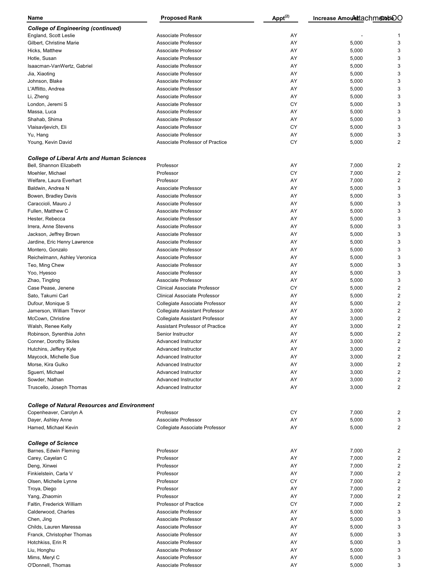| <b>Name</b>                                         | <b>Proposed Rank</b>                   | $\text{Appt}^{(2)}$ | Increase Amount tachment DO |                         |
|-----------------------------------------------------|----------------------------------------|---------------------|-----------------------------|-------------------------|
| <b>College of Engineering (continued)</b>           |                                        |                     |                             |                         |
| England, Scott Leslie                               | Associate Professor                    | AY                  |                             |                         |
| Gilbert, Christine Marie                            | Associate Professor                    | AY                  | 5,000                       | 3                       |
| Hicks, Matthew                                      | Associate Professor                    | AY                  | 5,000                       | 3                       |
| Hotle, Susan                                        | Associate Professor                    | AY                  | 5,000                       | 3                       |
| Isaacman-VanWertz, Gabriel                          | Associate Professor                    | AY                  | 5,000                       | 3                       |
| Jia, Xiaoting                                       | Associate Professor                    | AY                  | 5,000                       | 3                       |
| Johnson, Blake                                      | Associate Professor                    | AY                  | 5,000                       | 3                       |
| L'Afflitto, Andrea                                  | Associate Professor                    | AY                  | 5,000                       | 3                       |
| Li, Zheng                                           | Associate Professor                    | AY                  | 5,000                       | 3                       |
|                                                     |                                        | <b>CY</b>           |                             | 3                       |
| London, Jeremi S                                    | Associate Professor                    |                     | 5,000                       |                         |
| Massa, Luca                                         | Associate Professor                    | AY                  | 5,000                       | 3                       |
| Shahab, Shima                                       | Associate Professor                    | AY                  | 5,000                       | 3                       |
| Vlaisavljevich, Eli                                 | Associate Professor                    | <b>CY</b>           | 5,000                       | 3                       |
| Yu, Hang                                            | Associate Professor                    | AY                  | 5,000                       | 3                       |
| Young, Kevin David                                  | Associate Professor of Practice        | <b>CY</b>           | 5,000                       | 2                       |
| <b>College of Liberal Arts and Human Sciences</b>   |                                        |                     |                             |                         |
| Bell. Shannon Elizabeth                             | Professor                              | AY                  | 7,000                       | 2                       |
| Moehler, Michael                                    | Professor                              | <b>CY</b>           | 7,000                       | 2                       |
| Welfare, Laura Everhart                             | Professor                              | AY                  | 7,000                       | 2                       |
| Baldwin, Andrea N                                   | Associate Professor                    | AY                  | 5,000                       | 3                       |
| Bowen, Bradley Davis                                | Associate Professor                    | AY                  | 5,000                       | 3                       |
| Caraccioli, Mauro J                                 | Associate Professor                    | AY                  | 5,000                       | 3                       |
| Fullen, Matthew C                                   | Associate Professor                    | AY                  | 5,000                       | 3                       |
| Hester, Rebecca                                     | Associate Professor                    | AY                  | 5,000                       | 3                       |
| Irrera, Anne Stevens                                | Associate Professor                    | AY                  | 5,000                       | 3                       |
| Jackson, Jeffrey Brown                              | Associate Professor                    | AY                  | 5,000                       | 3                       |
| Jardine, Eric Henry Lawrence                        | Associate Professor                    | AY                  | 5,000                       | 3                       |
|                                                     |                                        | AY                  |                             |                         |
| Montero, Gonzalo                                    | Associate Professor                    |                     | 5,000                       | 3                       |
| Reichelmann, Ashley Veronica                        | Associate Professor                    | AY                  | 5,000                       | 3                       |
| Teo, Ming Chew                                      | Associate Professor                    | AY                  | 5,000                       | 3                       |
| Yoo, Hyesoo                                         | Associate Professor                    | AY                  | 5,000                       | 3                       |
| Zhao, Tingting                                      | Associate Professor                    | AY                  | 5,000                       | 3                       |
| Case Pease, Jenene                                  | <b>Clinical Associate Professor</b>    | <b>CY</b>           | 5,000                       | 2                       |
| Sato, Takumi Carl                                   | <b>Clinical Associate Professor</b>    | AY                  | 5,000                       | 2                       |
| Dufour, Monique S                                   | Collegiate Associate Professor         | AY                  | 5,000                       | 2                       |
| Jamerson, William Trevor                            | Collegiate Assistant Professor         | AY                  | 3,000                       | $\overline{\mathbf{c}}$ |
| McCown, Christine                                   | <b>Collegiate Assistant Professor</b>  | AY                  | 3,000                       | $\overline{\mathbf{c}}$ |
| Walsh, Renee Kelly                                  | <b>Assistant Professor of Practice</b> | AY                  | 3,000                       | 2                       |
| Robinson, Syrenthia John                            | Senior Instructor                      | AY                  | 5,000                       | 2                       |
| Conner, Dorothy Skiles                              | <b>Advanced Instructor</b>             | AY                  | 3,000                       | 2                       |
| Hutchins, Jeffery Kyle                              | Advanced Instructor                    | AY                  | 3,000                       | 2                       |
| Maycock, Michelle Sue                               | Advanced Instructor                    | AY                  | 3,000                       | 2                       |
| Morse, Kira Gulko                                   | Advanced Instructor                    | AY                  | 3,000                       | 2                       |
| Sguerri, Michael                                    | Advanced Instructor                    | AY                  | 3,000                       | 2                       |
|                                                     | Advanced Instructor                    | AY                  |                             | 2                       |
| Sowder, Nathan                                      |                                        | AY                  | 3,000                       |                         |
| Truscello, Joseph Thomas                            | Advanced Instructor                    |                     | 3,000                       | 2                       |
| <b>College of Natural Resources and Environment</b> |                                        |                     |                             |                         |
| Copenheaver, Carolyn A                              | Professor                              | CY                  | 7,000                       | 2                       |
| Dayer, Ashley Anne                                  | Associate Professor                    | AY                  | 5,000                       | 3                       |
| Hamed, Michael Kevin                                | Collegiate Associate Professor         | AY                  | 5,000                       | 2                       |
| <b>College of Science</b>                           |                                        |                     |                             |                         |
| Barnes, Edwin Fleming                               | Professor                              | AY                  | 7,000                       | 2                       |
| Carey, Cayelan C                                    | Professor                              | AY                  | 7,000                       | 2                       |
| Deng, Xinwei                                        | Professor                              | AY                  | 7,000                       | 2                       |
| Finkielstein, Carla V                               | Professor                              | AY                  | 7,000                       | 2                       |
| Olsen, Michelle Lynne                               | Professor                              | <b>CY</b>           | 7,000                       | 2                       |
| Troya, Diego                                        | Professor                              | AY                  | 7,000                       | 2                       |
| Yang, Zhaomin                                       | Professor                              | AY                  | 7,000                       | 2                       |
| Faltin, Frederick William                           | <b>Professor of Practice</b>           | <b>CY</b>           | 7,000                       | 2                       |
| Calderwood, Charles                                 | Associate Professor                    | AY                  |                             | 3                       |
|                                                     |                                        |                     | 5,000                       |                         |
| Chen, Jing                                          | Associate Professor                    | AY                  | 5,000                       | 3                       |
| Childs, Lauren Maressa                              | Associate Professor                    | AY                  | 5,000                       | 3                       |
| Franck, Christopher Thomas                          | Associate Professor                    | AY                  | 5,000                       | 3                       |
| Hotchkiss, Erin R                                   | Associate Professor                    | AY                  | 5,000                       | 3                       |
| Liu, Honghu                                         | Associate Professor                    | AY                  | 5,000                       | 3                       |
| Mims, Meryl C                                       | Associate Professor                    | AY                  | 5,000                       | 3                       |
| O'Donnell, Thomas                                   | Associate Professor                    | AY                  | 5,000                       | 3                       |